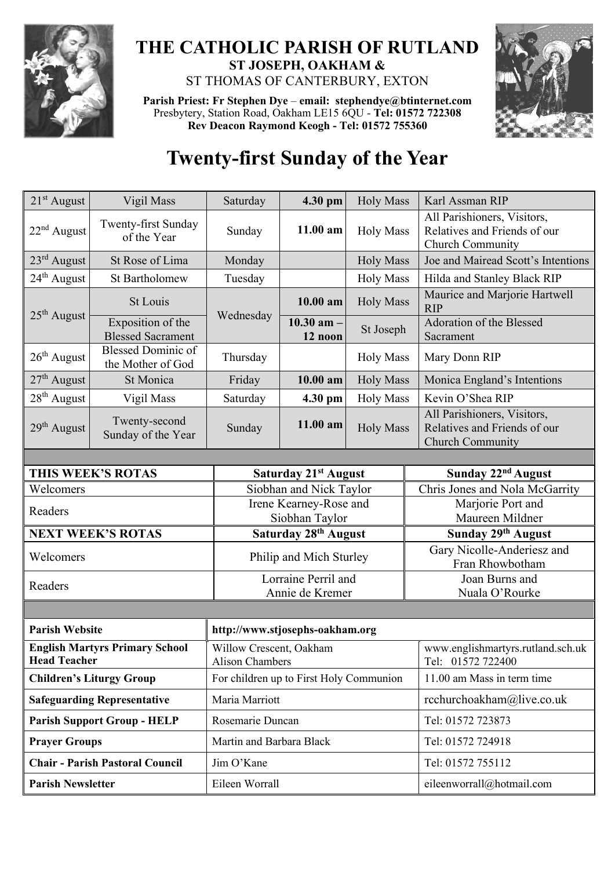

## **THE CATHOLIC PARISH OF RUTLAND ST JOSEPH, OAKHAM &**  ST THOMAS OF CANTERBURY, EXTON

**Parish Priest: Fr Stephen Dye** – **[email: stephendye@btinternet.com](mailto:email:%20%20stephendye@btinternet.com)** Presbytery, Station Road, Oakham LE15 6QU - **Tel: 01572 722308 Rev Deacon Raymond Keogh - Tel: 01572 755360**



## **Twenty-first Sunday of the Year**

| $21st$ August                                                | Vigil Mass                                     | Saturday                                          | 4.30 pm                   | <b>Holy Mass</b> | Karl Assman RIP                                                                 |  |
|--------------------------------------------------------------|------------------------------------------------|---------------------------------------------------|---------------------------|------------------|---------------------------------------------------------------------------------|--|
| $22nd$ August                                                | Twenty-first Sunday<br>of the Year             | Sunday                                            | $11.00$ am                | <b>Holy Mass</b> | All Parishioners, Visitors,<br>Relatives and Friends of our<br>Church Community |  |
| $23^{\text{rd}}$ August                                      | St Rose of Lima                                | Monday                                            |                           | <b>Holy Mass</b> | Joe and Mairead Scott's Intentions                                              |  |
| $24th$ August                                                | <b>St Bartholomew</b>                          | Tuesday                                           |                           | <b>Holy Mass</b> | Hilda and Stanley Black RIP                                                     |  |
| $25th$ August                                                | St Louis                                       | Wednesday                                         | $10.00$ am                | <b>Holy Mass</b> | Maurice and Marjorie Hartwell<br><b>RIP</b>                                     |  |
|                                                              | Exposition of the<br><b>Blessed Sacrament</b>  |                                                   | $10.30$ am $-$<br>12 noon | St Joseph        | Adoration of the Blessed<br>Sacrament                                           |  |
| $26th$ August                                                | <b>Blessed Dominic of</b><br>the Mother of God | Thursday                                          |                           | <b>Holy Mass</b> | Mary Donn RIP                                                                   |  |
| $27th$ August                                                | St Monica                                      | Friday                                            | $10.00$ am                | <b>Holy Mass</b> | Monica England's Intentions                                                     |  |
| $28th$ August                                                | Vigil Mass                                     | Saturday                                          | 4.30 pm                   | <b>Holy Mass</b> | Kevin O'Shea RIP                                                                |  |
| $29th$ August                                                | Twenty-second<br>Sunday of the Year            | Sunday                                            | 11.00 am                  | <b>Holy Mass</b> | All Parishioners, Visitors,<br>Relatives and Friends of our<br>Church Community |  |
|                                                              |                                                |                                                   |                           |                  |                                                                                 |  |
|                                                              | THIS WEEK'S ROTAS                              | Saturday 21st August                              |                           |                  | Sunday 22 <sup>nd</sup> August                                                  |  |
| Welcomers                                                    |                                                |                                                   | Siobhan and Nick Taylor   |                  | Chris Jones and Nola McGarrity                                                  |  |
| Readers                                                      |                                                | Irene Kearney-Rose and<br>Siobhan Taylor          |                           |                  | Marjorie Port and<br>Maureen Mildner                                            |  |
| <b>NEXT WEEK'S ROTAS</b>                                     |                                                | Saturday 28th August                              |                           |                  | Sunday 29th August                                                              |  |
| Welcomers                                                    |                                                | Philip and Mich Sturley                           |                           |                  | Gary Nicolle-Anderiesz and<br>Fran Rhowbotham                                   |  |
|                                                              |                                                | Lorraine Perril and                               |                           |                  | Joan Burns and                                                                  |  |
| Readers                                                      |                                                | Annie de Kremer                                   |                           |                  | Nuala O'Rourke                                                                  |  |
|                                                              |                                                |                                                   |                           |                  |                                                                                 |  |
| <b>Parish Website</b><br>http://www.stjosephs-oakham.org     |                                                |                                                   |                           |                  |                                                                                 |  |
| <b>English Martyrs Primary School</b><br><b>Head Teacher</b> |                                                | Willow Crescent, Oakham<br><b>Alison Chambers</b> |                           |                  | www.englishmartyrs.rutland.sch.uk<br>Tel: 01572 722400                          |  |
| <b>Children's Liturgy Group</b>                              |                                                | For children up to First Holy Communion           |                           |                  | 11.00 am Mass in term time                                                      |  |
| <b>Safeguarding Representative</b>                           |                                                | Maria Marriott                                    |                           |                  | rcchurchoakham@live.co.uk                                                       |  |
| <b>Parish Support Group - HELP</b>                           |                                                | Rosemarie Duncan                                  |                           |                  | Tel: 01572 723873                                                               |  |
| <b>Prayer Groups</b>                                         |                                                | Martin and Barbara Black                          |                           |                  | Tel: 01572 724918                                                               |  |
| <b>Chair - Parish Pastoral Council</b>                       |                                                | Jim O'Kane                                        |                           |                  | Tel: 01572 755112                                                               |  |
| <b>Parish Newsletter</b>                                     |                                                | Eileen Worrall                                    |                           |                  | eileenworrall@hotmail.com                                                       |  |